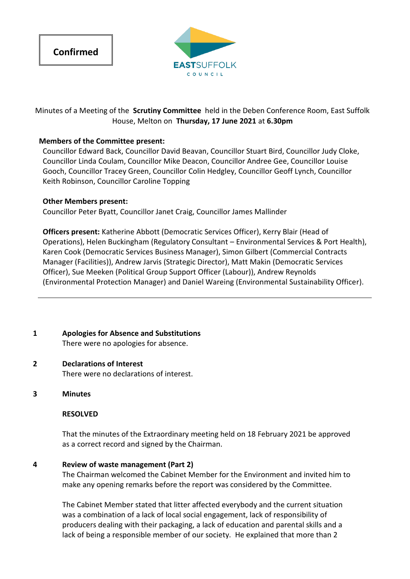



Minutes of a Meeting of the **Scrutiny Committee** held in the Deben Conference Room, East Suffolk House, Melton on **Thursday, 17 June 2021** at **6.30pm**

### **Members of the Committee present:**

Councillor Edward Back, Councillor David Beavan, Councillor Stuart Bird, Councillor Judy Cloke, Councillor Linda Coulam, Councillor Mike Deacon, Councillor Andree Gee, Councillor Louise Gooch, Councillor Tracey Green, Councillor Colin Hedgley, Councillor Geoff Lynch, Councillor Keith Robinson, Councillor Caroline Topping

#### **Other Members present:**

Councillor Peter Byatt, Councillor Janet Craig, Councillor James Mallinder

**Officers present:** Katherine Abbott (Democratic Services Officer), Kerry Blair (Head of Operations), Helen Buckingham (Regulatory Consultant – Environmental Services & Port Health), Karen Cook (Democratic Services Business Manager), Simon Gilbert (Commercial Contracts Manager (Facilities)), Andrew Jarvis (Strategic Director), Matt Makin (Democratic Services Officer), Sue Meeken (Political Group Support Officer (Labour)), Andrew Reynolds (Environmental Protection Manager) and Daniel Wareing (Environmental Sustainability Officer).

**1 Apologies for Absence and Substitutions** There were no apologies for absence.

# **2 Declarations of Interest**

There were no declarations of interest.

**3 Minutes**

#### **RESOLVED**

That the minutes of the Extraordinary meeting held on 18 February 2021 be approved as a correct record and signed by the Chairman.

#### **4 Review of waste management (Part 2)**

The Chairman welcomed the Cabinet Member for the Environment and invited him to make any opening remarks before the report was considered by the Committee.

The Cabinet Member stated that litter affected everybody and the current situation was a combination of a lack of local social engagement, lack of responsibility of producers dealing with their packaging, a lack of education and parental skills and a lack of being a responsible member of our society. He explained that more than 2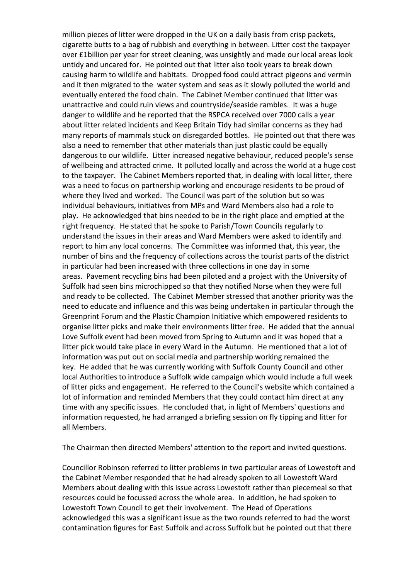million pieces of litter were dropped in the UK on a daily basis from crisp packets, cigarette butts to a bag of rubbish and everything in between. Litter cost the taxpayer over £1billion per year for street cleaning, was unsightly and made our local areas look untidy and uncared for. He pointed out that litter also took years to break down causing harm to wildlife and habitats. Dropped food could attract pigeons and vermin and it then migrated to the water system and seas as it slowly polluted the world and eventually entered the food chain. The Cabinet Member continued that litter was unattractive and could ruin views and countryside/seaside rambles. It was a huge danger to wildlife and he reported that the RSPCA received over 7000 calls a year about litter related incidents and Keep Britain Tidy had similar concerns as they had many reports of mammals stuck on disregarded bottles. He pointed out that there was also a need to remember that other materials than just plastic could be equally dangerous to our wildlife. Litter increased negative behaviour, reduced people's sense of wellbeing and attracted crime. It polluted locally and across the world at a huge cost to the taxpayer. The Cabinet Members reported that, in dealing with local litter, there was a need to focus on partnership working and encourage residents to be proud of where they lived and worked. The Council was part of the solution but so was individual behaviours, initiatives from MPs and Ward Members also had a role to play. He acknowledged that bins needed to be in the right place and emptied at the right frequency. He stated that he spoke to Parish/Town Councils regularly to understand the issues in their areas and Ward Members were asked to identify and report to him any local concerns. The Committee was informed that, this year, the number of bins and the frequency of collections across the tourist parts of the district in particular had been increased with three collections in one day in some areas. Pavement recycling bins had been piloted and a project with the University of Suffolk had seen bins microchipped so that they notified Norse when they were full and ready to be collected. The Cabinet Member stressed that another priority was the need to educate and influence and this was being undertaken in particular through the Greenprint Forum and the Plastic Champion Initiative which empowered residents to organise litter picks and make their environments litter free. He added that the annual Love Suffolk event had been moved from Spring to Autumn and it was hoped that a litter pick would take place in every Ward in the Autumn. He mentioned that a lot of information was put out on social media and partnership working remained the key. He added that he was currently working with Suffolk County Council and other local Authorities to introduce a Suffolk wide campaign which would include a full week of litter picks and engagement. He referred to the Council's website which contained a lot of information and reminded Members that they could contact him direct at any time with any specific issues. He concluded that, in light of Members' questions and information requested, he had arranged a briefing session on fly tipping and litter for all Members.

The Chairman then directed Members' attention to the report and invited questions.

Councillor Robinson referred to litter problems in two particular areas of Lowestoft and the Cabinet Member responded that he had already spoken to all Lowestoft Ward Members about dealing with this issue across Lowestoft rather than piecemeal so that resources could be focussed across the whole area. In addition, he had spoken to Lowestoft Town Council to get their involvement. The Head of Operations acknowledged this was a significant issue as the two rounds referred to had the worst contamination figures for East Suffolk and across Suffolk but he pointed out that there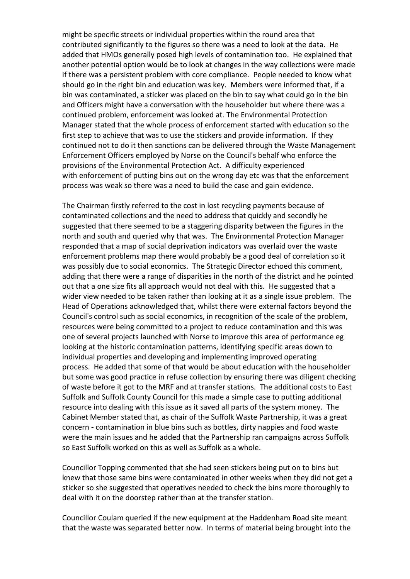might be specific streets or individual properties within the round area that contributed significantly to the figures so there was a need to look at the data. He added that HMOs generally posed high levels of contamination too. He explained that another potential option would be to look at changes in the way collections were made if there was a persistent problem with core compliance. People needed to know what should go in the right bin and education was key. Members were informed that, if a bin was contaminated, a sticker was placed on the bin to say what could go in the bin and Officers might have a conversation with the householder but where there was a continued problem, enforcement was looked at. The Environmental Protection Manager stated that the whole process of enforcement started with education so the first step to achieve that was to use the stickers and provide information. If they continued not to do it then sanctions can be delivered through the Waste Management Enforcement Officers employed by Norse on the Council's behalf who enforce the provisions of the Environmental Protection Act. A difficulty experienced with enforcement of putting bins out on the wrong day etc was that the enforcement process was weak so there was a need to build the case and gain evidence.

The Chairman firstly referred to the cost in lost recycling payments because of contaminated collections and the need to address that quickly and secondly he suggested that there seemed to be a staggering disparity between the figures in the north and south and queried why that was. The Environmental Protection Manager responded that a map of social deprivation indicators was overlaid over the waste enforcement problems map there would probably be a good deal of correlation so it was possibly due to social economics. The Strategic Director echoed this comment, adding that there were a range of disparities in the north of the district and he pointed out that a one size fits all approach would not deal with this. He suggested that a wider view needed to be taken rather than looking at it as a single issue problem. The Head of Operations acknowledged that, whilst there were external factors beyond the Council's control such as social economics, in recognition of the scale of the problem, resources were being committed to a project to reduce contamination and this was one of several projects launched with Norse to improve this area of performance eg looking at the historic contamination patterns, identifying specific areas down to individual properties and developing and implementing improved operating process. He added that some of that would be about education with the householder but some was good practice in refuse collection by ensuring there was diligent checking of waste before it got to the MRF and at transfer stations. The additional costs to East Suffolk and Suffolk County Council for this made a simple case to putting additional resource into dealing with this issue as it saved all parts of the system money. The Cabinet Member stated that, as chair of the Suffolk Waste Partnership, it was a great concern - contamination in blue bins such as bottles, dirty nappies and food waste were the main issues and he added that the Partnership ran campaigns across Suffolk so East Suffolk worked on this as well as Suffolk as a whole.

Councillor Topping commented that she had seen stickers being put on to bins but knew that those same bins were contaminated in other weeks when they did not get a sticker so she suggested that operatives needed to check the bins more thoroughly to deal with it on the doorstep rather than at the transfer station.

Councillor Coulam queried if the new equipment at the Haddenham Road site meant that the waste was separated better now. In terms of material being brought into the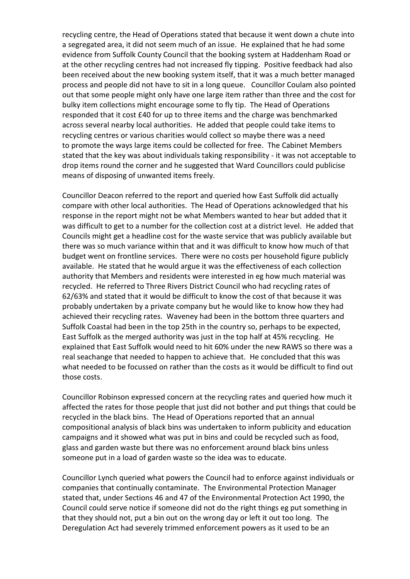recycling centre, the Head of Operations stated that because it went down a chute into a segregated area, it did not seem much of an issue. He explained that he had some evidence from Suffolk County Council that the booking system at Haddenham Road or at the other recycling centres had not increased fly tipping. Positive feedback had also been received about the new booking system itself, that it was a much better managed process and people did not have to sit in a long queue. Councillor Coulam also pointed out that some people might only have one large item rather than three and the cost for bulky item collections might encourage some to fly tip. The Head of Operations responded that it cost £40 for up to three items and the charge was benchmarked across several nearby local authorities. He added that people could take items to recycling centres or various charities would collect so maybe there was a need to promote the ways large items could be collected for free. The Cabinet Members stated that the key was about individuals taking responsibility - it was not acceptable to drop items round the corner and he suggested that Ward Councillors could publicise means of disposing of unwanted items freely.

Councillor Deacon referred to the report and queried how East Suffolk did actually compare with other local authorities. The Head of Operations acknowledged that his response in the report might not be what Members wanted to hear but added that it was difficult to get to a number for the collection cost at a district level. He added that Councils might get a headline cost for the waste service that was publicly available but there was so much variance within that and it was difficult to know how much of that budget went on frontline services. There were no costs per household figure publicly available. He stated that he would argue it was the effectiveness of each collection authority that Members and residents were interested in eg how much material was recycled. He referred to Three Rivers District Council who had recycling rates of 62/63% and stated that it would be difficult to know the cost of that because it was probably undertaken by a private company but he would like to know how they had achieved their recycling rates. Waveney had been in the bottom three quarters and Suffolk Coastal had been in the top 25th in the country so, perhaps to be expected, East Suffolk as the merged authority was just in the top half at 45% recycling. He explained that East Suffolk would need to hit 60% under the new RAWS so there was a real seachange that needed to happen to achieve that. He concluded that this was what needed to be focussed on rather than the costs as it would be difficult to find out those costs.

Councillor Robinson expressed concern at the recycling rates and queried how much it affected the rates for those people that just did not bother and put things that could be recycled in the black bins. The Head of Operations reported that an annual compositional analysis of black bins was undertaken to inform publicity and education campaigns and it showed what was put in bins and could be recycled such as food, glass and garden waste but there was no enforcement around black bins unless someone put in a load of garden waste so the idea was to educate.

Councillor Lynch queried what powers the Council had to enforce against individuals or companies that continually contaminate. The Environmental Protection Manager stated that, under Sections 46 and 47 of the Environmental Protection Act 1990, the Council could serve notice if someone did not do the right things eg put something in that they should not, put a bin out on the wrong day or left it out too long. The Deregulation Act had severely trimmed enforcement powers as it used to be an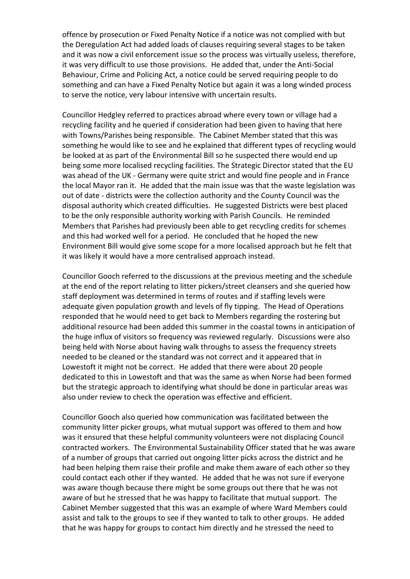offence by prosecution or Fixed Penalty Notice if a notice was not complied with but the Deregulation Act had added loads of clauses requiring several stages to be taken and it was now a civil enforcement issue so the process was virtually useless, therefore, it was very difficult to use those provisions. He added that, under the Anti-Social Behaviour, Crime and Policing Act, a notice could be served requiring people to do something and can have a Fixed Penalty Notice but again it was a long winded process to serve the notice, very labour intensive with uncertain results.

Councillor Hedgley referred to practices abroad where every town or village had a recycling facility and he queried if consideration had been given to having that here with Towns/Parishes being responsible. The Cabinet Member stated that this was something he would like to see and he explained that different types of recycling would be looked at as part of the Environmental Bill so he suspected there would end up being some more localised recycling facilities. The Strategic Director stated that the EU was ahead of the UK - Germany were quite strict and would fine people and in France the local Mayor ran it. He added that the main issue was that the waste legislation was out of date - districts were the collection authority and the County Council was the disposal authority which created difficulties. He suggested Districts were best placed to be the only responsible authority working with Parish Councils. He reminded Members that Parishes had previously been able to get recycling credits for schemes and this had worked well for a period. He concluded that he hoped the new Environment Bill would give some scope for a more localised approach but he felt that it was likely it would have a more centralised approach instead.

Councillor Gooch referred to the discussions at the previous meeting and the schedule at the end of the report relating to litter pickers/street cleansers and she queried how staff deployment was determined in terms of routes and if staffing levels were adequate given population growth and levels of fly tipping. The Head of Operations responded that he would need to get back to Members regarding the rostering but additional resource had been added this summer in the coastal towns in anticipation of the huge influx of visitors so frequency was reviewed regularly. Discussions were also being held with Norse about having walk throughs to assess the frequency streets needed to be cleaned or the standard was not correct and it appeared that in Lowestoft it might not be correct. He added that there were about 20 people dedicated to this in Lowestoft and that was the same as when Norse had been formed but the strategic approach to identifying what should be done in particular areas was also under review to check the operation was effective and efficient.

Councillor Gooch also queried how communication was facilitated between the community litter picker groups, what mutual support was offered to them and how was it ensured that these helpful community volunteers were not displacing Council contracted workers. The Environmental Sustainability Officer stated that he was aware of a number of groups that carried out ongoing litter picks across the district and he had been helping them raise their profile and make them aware of each other so they could contact each other if they wanted. He added that he was not sure if everyone was aware though because there might be some groups out there that he was not aware of but he stressed that he was happy to facilitate that mutual support. The Cabinet Member suggested that this was an example of where Ward Members could assist and talk to the groups to see if they wanted to talk to other groups. He added that he was happy for groups to contact him directly and he stressed the need to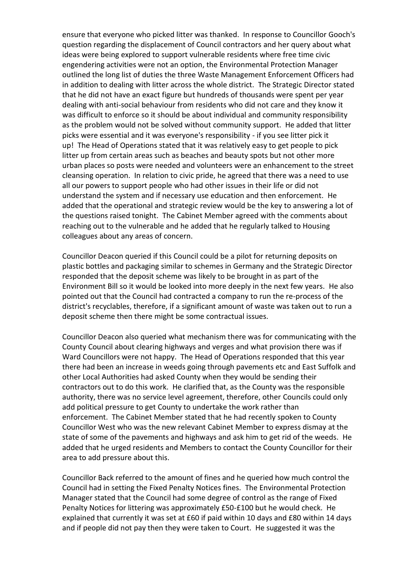ensure that everyone who picked litter was thanked. In response to Councillor Gooch's question regarding the displacement of Council contractors and her query about what ideas were being explored to support vulnerable residents where free time civic engendering activities were not an option, the Environmental Protection Manager outlined the long list of duties the three Waste Management Enforcement Officers had in addition to dealing with litter across the whole district. The Strategic Director stated that he did not have an exact figure but hundreds of thousands were spent per year dealing with anti-social behaviour from residents who did not care and they know it was difficult to enforce so it should be about individual and community responsibility as the problem would not be solved without community support. He added that litter picks were essential and it was everyone's responsibility - if you see litter pick it up! The Head of Operations stated that it was relatively easy to get people to pick litter up from certain areas such as beaches and beauty spots but not other more urban places so posts were needed and volunteers were an enhancement to the street cleansing operation. In relation to civic pride, he agreed that there was a need to use all our powers to support people who had other issues in their life or did not understand the system and if necessary use education and then enforcement. He added that the operational and strategic review would be the key to answering a lot of the questions raised tonight. The Cabinet Member agreed with the comments about reaching out to the vulnerable and he added that he regularly talked to Housing colleagues about any areas of concern.

Councillor Deacon queried if this Council could be a pilot for returning deposits on plastic bottles and packaging similar to schemes in Germany and the Strategic Director responded that the deposit scheme was likely to be brought in as part of the Environment Bill so it would be looked into more deeply in the next few years. He also pointed out that the Council had contracted a company to run the re-process of the district's recyclables, therefore, if a significant amount of waste was taken out to run a deposit scheme then there might be some contractual issues.

Councillor Deacon also queried what mechanism there was for communicating with the County Council about clearing highways and verges and what provision there was if Ward Councillors were not happy. The Head of Operations responded that this year there had been an increase in weeds going through pavements etc and East Suffolk and other Local Authorities had asked County when they would be sending their contractors out to do this work. He clarified that, as the County was the responsible authority, there was no service level agreement, therefore, other Councils could only add political pressure to get County to undertake the work rather than enforcement. The Cabinet Member stated that he had recently spoken to County Councillor West who was the new relevant Cabinet Member to express dismay at the state of some of the pavements and highways and ask him to get rid of the weeds. He added that he urged residents and Members to contact the County Councillor for their area to add pressure about this.

Councillor Back referred to the amount of fines and he queried how much control the Council had in setting the Fixed Penalty Notices fines. The Environmental Protection Manager stated that the Council had some degree of control as the range of Fixed Penalty Notices for littering was approximately £50-£100 but he would check. He explained that currently it was set at £60 if paid within 10 days and £80 within 14 days and if people did not pay then they were taken to Court. He suggested it was the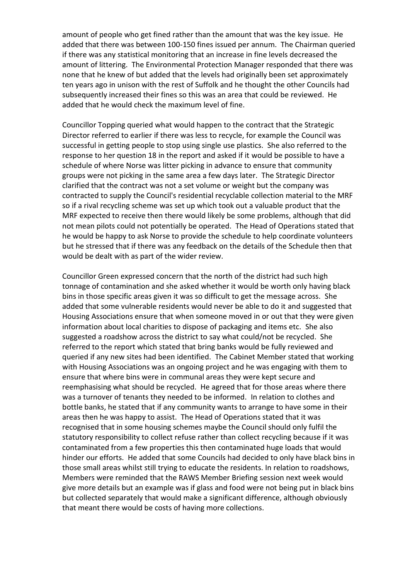amount of people who get fined rather than the amount that was the key issue. He added that there was between 100-150 fines issued per annum. The Chairman queried if there was any statistical monitoring that an increase in fine levels decreased the amount of littering. The Environmental Protection Manager responded that there was none that he knew of but added that the levels had originally been set approximately ten years ago in unison with the rest of Suffolk and he thought the other Councils had subsequently increased their fines so this was an area that could be reviewed. He added that he would check the maximum level of fine.

Councillor Topping queried what would happen to the contract that the Strategic Director referred to earlier if there was less to recycle, for example the Council was successful in getting people to stop using single use plastics. She also referred to the response to her question 18 in the report and asked if it would be possible to have a schedule of where Norse was litter picking in advance to ensure that community groups were not picking in the same area a few days later. The Strategic Director clarified that the contract was not a set volume or weight but the company was contracted to supply the Council's residential recyclable collection material to the MRF so if a rival recycling scheme was set up which took out a valuable product that the MRF expected to receive then there would likely be some problems, although that did not mean pilots could not potentially be operated. The Head of Operations stated that he would be happy to ask Norse to provide the schedule to help coordinate volunteers but he stressed that if there was any feedback on the details of the Schedule then that would be dealt with as part of the wider review.

Councillor Green expressed concern that the north of the district had such high tonnage of contamination and she asked whether it would be worth only having black bins in those specific areas given it was so difficult to get the message across. She added that some vulnerable residents would never be able to do it and suggested that Housing Associations ensure that when someone moved in or out that they were given information about local charities to dispose of packaging and items etc. She also suggested a roadshow across the district to say what could/not be recycled. She referred to the report which stated that bring banks would be fully reviewed and queried if any new sites had been identified. The Cabinet Member stated that working with Housing Associations was an ongoing project and he was engaging with them to ensure that where bins were in communal areas they were kept secure and reemphasising what should be recycled. He agreed that for those areas where there was a turnover of tenants they needed to be informed. In relation to clothes and bottle banks, he stated that if any community wants to arrange to have some in their areas then he was happy to assist. The Head of Operations stated that it was recognised that in some housing schemes maybe the Council should only fulfil the statutory responsibility to collect refuse rather than collect recycling because if it was contaminated from a few properties this then contaminated huge loads that would hinder our efforts. He added that some Councils had decided to only have black bins in those small areas whilst still trying to educate the residents. In relation to roadshows, Members were reminded that the RAWS Member Briefing session next week would give more details but an example was if glass and food were not being put in black bins but collected separately that would make a significant difference, although obviously that meant there would be costs of having more collections.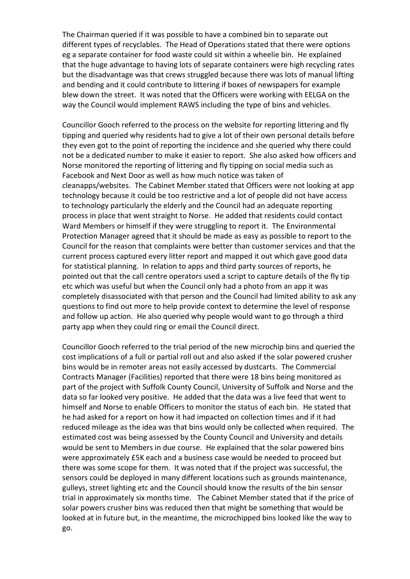The Chairman queried if it was possible to have a combined bin to separate out different types of recyclables. The Head of Operations stated that there were options eg a separate container for food waste could sit within a wheelie bin. He explained that the huge advantage to having lots of separate containers were high recycling rates but the disadvantage was that crews struggled because there was lots of manual lifting and bending and it could contribute to littering if boxes of newspapers for example blew down the street. It was noted that the Officers were working with EELGA on the way the Council would implement RAWS including the type of bins and vehicles.

Councillor Gooch referred to the process on the website for reporting littering and fly tipping and queried why residents had to give a lot of their own personal details before they even got to the point of reporting the incidence and she queried why there could not be a dedicated number to make it easier to report. She also asked how officers and Norse monitored the reporting of littering and fly tipping on social media such as Facebook and Next Door as well as how much notice was taken of cleanapps/websites. The Cabinet Member stated that Officers were not looking at app technology because it could be too restrictive and a lot of people did not have access to technology particularly the elderly and the Council had an adequate reporting process in place that went straight to Norse. He added that residents could contact Ward Members or himself if they were struggling to report it. The Environmental Protection Manager agreed that it should be made as easy as possible to report to the Council for the reason that complaints were better than customer services and that the current process captured every litter report and mapped it out which gave good data for statistical planning. In relation to apps and third party sources of reports, he pointed out that the call centre operators used a script to capture details of the fly tip etc which was useful but when the Council only had a photo from an app it was completely disassociated with that person and the Council had limited ability to ask any questions to find out more to help provide context to determine the level of response and follow up action. He also queried why people would want to go through a third party app when they could ring or email the Council direct.

Councillor Gooch referred to the trial period of the new microchip bins and queried the cost implications of a full or partial roll out and also asked if the solar powered crusher bins would be in remoter areas not easily accessed by dustcarts. The Commercial Contracts Manager (Facilities) reported that there were 18 bins being monitored as part of the project with Suffolk County Council, University of Suffolk and Norse and the data so far looked very positive. He added that the data was a live feed that went to himself and Norse to enable Officers to monitor the status of each bin. He stated that he had asked for a report on how it had impacted on collection times and if it had reduced mileage as the idea was that bins would only be collected when required. The estimated cost was being assessed by the County Council and University and details would be sent to Members in due course. He explained that the solar powered bins were approximately £5K each and a business case would be needed to proceed but there was some scope for them. It was noted that if the project was successful, the sensors could be deployed in many different locations such as grounds maintenance, gulleys, street lighting etc and the Council should know the results of the bin sensor trial in approximately six months time. The Cabinet Member stated that if the price of solar powers crusher bins was reduced then that might be something that would be looked at in future but, in the meantime, the microchipped bins looked like the way to go.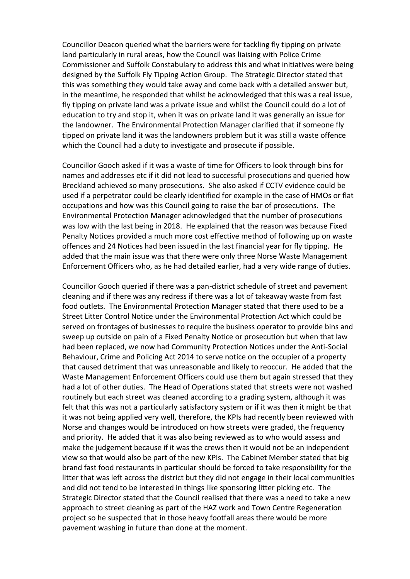Councillor Deacon queried what the barriers were for tackling fly tipping on private land particularly in rural areas, how the Council was liaising with Police Crime Commissioner and Suffolk Constabulary to address this and what initiatives were being designed by the Suffolk Fly Tipping Action Group. The Strategic Director stated that this was something they would take away and come back with a detailed answer but, in the meantime, he responded that whilst he acknowledged that this was a real issue, fly tipping on private land was a private issue and whilst the Council could do a lot of education to try and stop it, when it was on private land it was generally an issue for the landowner. The Environmental Protection Manager clarified that if someone fly tipped on private land it was the landowners problem but it was still a waste offence which the Council had a duty to investigate and prosecute if possible.

Councillor Gooch asked if it was a waste of time for Officers to look through bins for names and addresses etc if it did not lead to successful prosecutions and queried how Breckland achieved so many prosecutions. She also asked if CCTV evidence could be used if a perpetrator could be clearly identified for example in the case of HMOs or flat occupations and how was this Council going to raise the bar of prosecutions. The Environmental Protection Manager acknowledged that the number of prosecutions was low with the last being in 2018. He explained that the reason was because Fixed Penalty Notices provided a much more cost effective method of following up on waste offences and 24 Notices had been issued in the last financial year for fly tipping. He added that the main issue was that there were only three Norse Waste Management Enforcement Officers who, as he had detailed earlier, had a very wide range of duties.

Councillor Gooch queried if there was a pan-district schedule of street and pavement cleaning and if there was any redress if there was a lot of takeaway waste from fast food outlets. The Environmental Protection Manager stated that there used to be a Street Litter Control Notice under the Environmental Protection Act which could be served on frontages of businesses to require the business operator to provide bins and sweep up outside on pain of a Fixed Penalty Notice or prosecution but when that law had been replaced, we now had Community Protection Notices under the Anti-Social Behaviour, Crime and Policing Act 2014 to serve notice on the occupier of a property that caused detriment that was unreasonable and likely to reoccur. He added that the Waste Management Enforcement Officers could use them but again stressed that they had a lot of other duties. The Head of Operations stated that streets were not washed routinely but each street was cleaned according to a grading system, although it was felt that this was not a particularly satisfactory system or if it was then it might be that it was not being applied very well, therefore, the KPIs had recently been reviewed with Norse and changes would be introduced on how streets were graded, the frequency and priority. He added that it was also being reviewed as to who would assess and make the judgement because if it was the crews then it would not be an independent view so that would also be part of the new KPIs. The Cabinet Member stated that big brand fast food restaurants in particular should be forced to take responsibility for the litter that was left across the district but they did not engage in their local communities and did not tend to be interested in things like sponsoring litter picking etc. The Strategic Director stated that the Council realised that there was a need to take a new approach to street cleaning as part of the HAZ work and Town Centre Regeneration project so he suspected that in those heavy footfall areas there would be more pavement washing in future than done at the moment.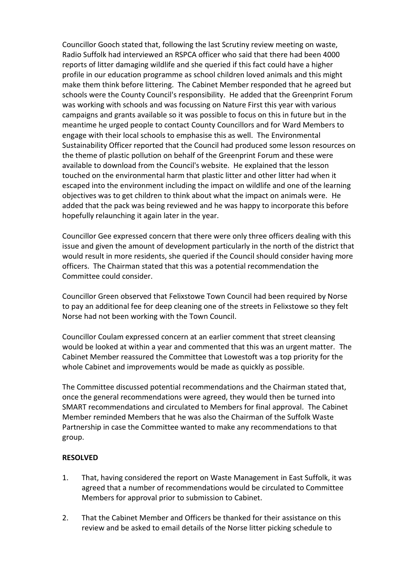Councillor Gooch stated that, following the last Scrutiny review meeting on waste, Radio Suffolk had interviewed an RSPCA officer who said that there had been 4000 reports of litter damaging wildlife and she queried if this fact could have a higher profile in our education programme as school children loved animals and this might make them think before littering. The Cabinet Member responded that he agreed but schools were the County Council's responsibility. He added that the Greenprint Forum was working with schools and was focussing on Nature First this year with various campaigns and grants available so it was possible to focus on this in future but in the meantime he urged people to contact County Councillors and for Ward Members to engage with their local schools to emphasise this as well. The Environmental Sustainability Officer reported that the Council had produced some lesson resources on the theme of plastic pollution on behalf of the Greenprint Forum and these were available to download from the Council's website. He explained that the lesson touched on the environmental harm that plastic litter and other litter had when it escaped into the environment including the impact on wildlife and one of the learning objectives was to get children to think about what the impact on animals were. He added that the pack was being reviewed and he was happy to incorporate this before hopefully relaunching it again later in the year.

Councillor Gee expressed concern that there were only three officers dealing with this issue and given the amount of development particularly in the north of the district that would result in more residents, she queried if the Council should consider having more officers. The Chairman stated that this was a potential recommendation the Committee could consider.

Councillor Green observed that Felixstowe Town Council had been required by Norse to pay an additional fee for deep cleaning one of the streets in Felixstowe so they felt Norse had not been working with the Town Council.

Councillor Coulam expressed concern at an earlier comment that street cleansing would be looked at within a year and commented that this was an urgent matter. The Cabinet Member reassured the Committee that Lowestoft was a top priority for the whole Cabinet and improvements would be made as quickly as possible.

The Committee discussed potential recommendations and the Chairman stated that, once the general recommendations were agreed, they would then be turned into SMART recommendations and circulated to Members for final approval. The Cabinet Member reminded Members that he was also the Chairman of the Suffolk Waste Partnership in case the Committee wanted to make any recommendations to that group.

#### **RESOLVED**

- 1. That, having considered the report on Waste Management in East Suffolk, it was agreed that a number of recommendations would be circulated to Committee Members for approval prior to submission to Cabinet.
- 2. That the Cabinet Member and Officers be thanked for their assistance on this review and be asked to email details of the Norse litter picking schedule to